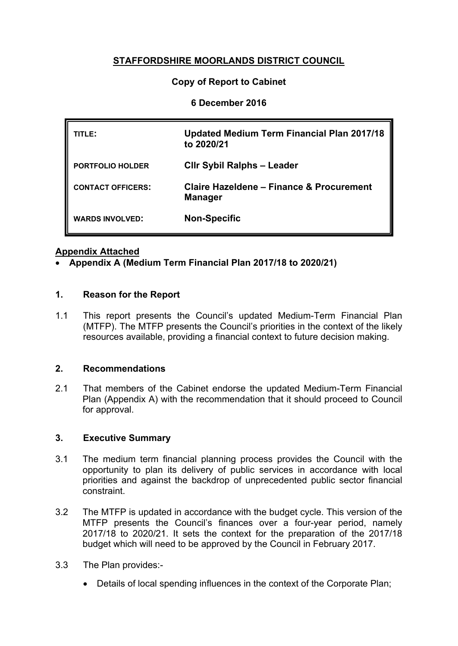# **STAFFORDSHIRE MOORLANDS DISTRICT COUNCIL**

## **Copy of Report to Cabinet**

#### **6 December 2016**

| TITLE:                   | Updated Medium Term Financial Plan 2017/18<br>to 2020/21   |
|--------------------------|------------------------------------------------------------|
| <b>PORTFOLIO HOLDER</b>  | <b>CIIr Sybil Ralphs - Leader</b>                          |
| <b>CONTACT OFFICERS:</b> | Claire Hazeldene – Finance & Procurement<br><b>Manager</b> |
| <b>WARDS INVOLVED:</b>   | <b>Non-Specific</b>                                        |

## **Appendix Attached**

## **[Appendix](http://smdcintranet/committeeagendas/2012-13/Overview%20&%20Scrutiny/Resources/10Oct12/SMDC%20-%20MTFP%20Oct%202012%20(2)Agenda%20Item%207.doc) A (Medium Term Financial Plan 2017/18 to 2020/21)**

#### **1. Reason for the Report**

1.1 This report presents the Council's updated Medium-Term Financial Plan (MTFP). The MTFP presents the Council's priorities in the context of the likely resources available, providing a financial context to future decision making.

#### **2. Recommendations**

2.1 That members of the Cabinet endorse the updated Medium-Term Financial Plan (Appendix A) with the recommendation that it should proceed to Council for approval.

#### **3. Executive Summary**

- 3.1 The medium term financial planning process provides the Council with the opportunity to plan its delivery of public services in accordance with local priorities and against the backdrop of unprecedented public sector financial constraint.
- 3.2 The MTFP is updated in accordance with the budget cycle. This version of the MTFP presents the Council's finances over a four-year period, namely 2017/18 to 2020/21. It sets the context for the preparation of the 2017/18 budget which will need to be approved by the Council in February 2017.
- 3.3 The Plan provides:-
	- Details of local spending influences in the context of the Corporate Plan;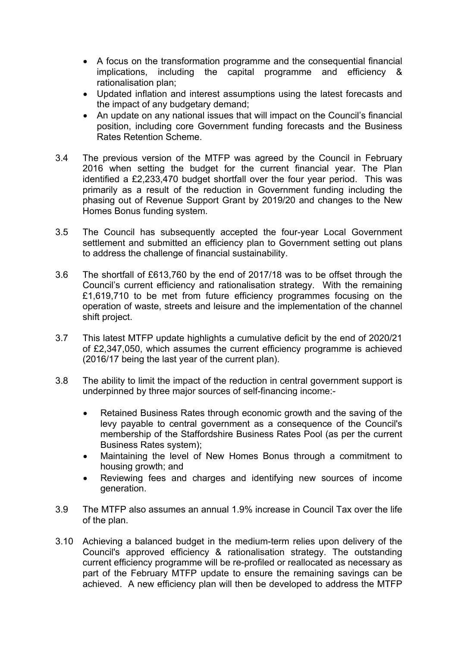- A focus on the transformation programme and the consequential financial implications, including the capital programme and efficiency & rationalisation plan;
- Updated inflation and interest assumptions using the latest forecasts and the impact of any budgetary demand;
- An update on any national issues that will impact on the Council's financial position, including core Government funding forecasts and the Business Rates Retention Scheme.
- 3.4 The previous version of the MTFP was agreed by the Council in February 2016 when setting the budget for the current financial year. The Plan identified a £2,233,470 budget shortfall over the four year period. This was primarily as a result of the reduction in Government funding including the phasing out of Revenue Support Grant by 2019/20 and changes to the New Homes Bonus funding system.
- 3.5 The Council has subsequently accepted the four-year Local Government settlement and submitted an efficiency plan to Government setting out plans to address the challenge of financial sustainability.
- 3.6 The shortfall of £613,760 by the end of 2017/18 was to be offset through the Council's current efficiency and rationalisation strategy. With the remaining £1,619,710 to be met from future efficiency programmes focusing on the operation of waste, streets and leisure and the implementation of the channel shift project.
- 3.7 This latest MTFP update highlights a cumulative deficit by the end of 2020/21 of £2,347,050, which assumes the current efficiency programme is achieved (2016/17 being the last year of the current plan).
- 3.8 The ability to limit the impact of the reduction in central government support is underpinned by three major sources of self-financing income:-
	- Retained Business Rates through economic growth and the saving of the levy payable to central government as a consequence of the Council's membership of the Staffordshire Business Rates Pool (as per the current Business Rates system);
	- Maintaining the level of New Homes Bonus through a commitment to housing growth; and
	- Reviewing fees and charges and identifying new sources of income generation.
- 3.9 The MTFP also assumes an annual 1.9% increase in Council Tax over the life of the plan.
- 3.10 Achieving a balanced budget in the medium-term relies upon delivery of the Council's approved efficiency & rationalisation strategy. The outstanding current efficiency programme will be re-profiled or reallocated as necessary as part of the February MTFP update to ensure the remaining savings can be achieved. A new efficiency plan will then be developed to address the MTFP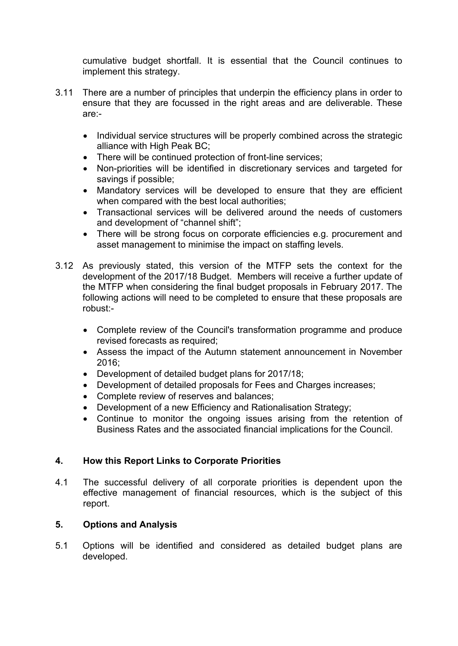cumulative budget shortfall. It is essential that the Council continues to implement this strategy.

- 3.11 There are a number of principles that underpin the efficiency plans in order to ensure that they are focussed in the right areas and are deliverable. These are:-
	- Individual service structures will be properly combined across the strategic alliance with High Peak BC;
	- There will be continued protection of front-line services;
	- Non-priorities will be identified in discretionary services and targeted for savings if possible;
	- Mandatory services will be developed to ensure that they are efficient when compared with the best local authorities;
	- Transactional services will be delivered around the needs of customers and development of "channel shift";
	- There will be strong focus on corporate efficiencies e.g. procurement and asset management to minimise the impact on staffing levels.
- 3.12 As previously stated, this version of the MTFP sets the context for the development of the 2017/18 Budget. Members will receive a further update of the MTFP when considering the final budget proposals in February 2017. The following actions will need to be completed to ensure that these proposals are robust:-
	- Complete review of the Council's transformation programme and produce revised forecasts as required;
	- Assess the impact of the Autumn statement announcement in November 2016;
	- Development of detailed budget plans for 2017/18;
	- Development of detailed proposals for Fees and Charges increases;
	- Complete review of reserves and balances;
	- Development of a new Efficiency and Rationalisation Strategy;
	- Continue to monitor the ongoing issues arising from the retention of Business Rates and the associated financial implications for the Council.

# **4. How this Report Links to Corporate Priorities**

4.1 The successful delivery of all corporate priorities is dependent upon the effective management of financial resources, which is the subject of this report.

# **5. Options and Analysis**

5.1 Options will be identified and considered as detailed budget plans are developed.